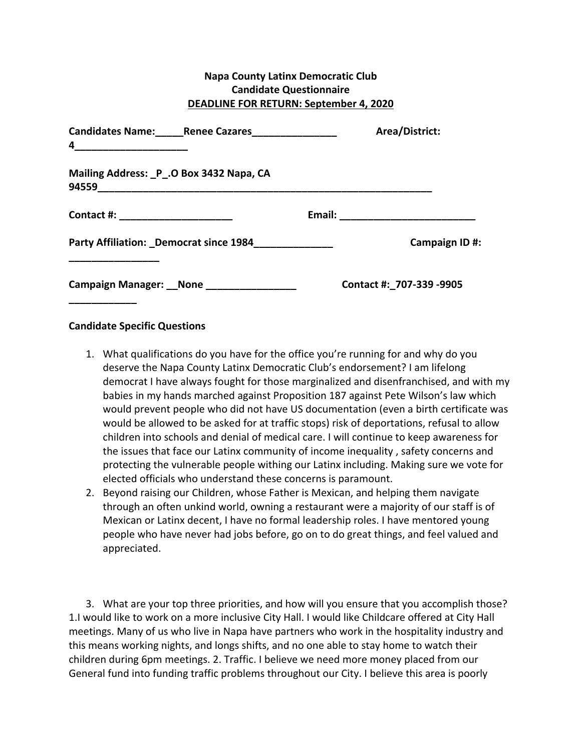## **Napa County Latinx Democratic Club Candidate Questionnaire DEADLINE FOR RETURN: September 4, 2020**

| Candidates Name: ______ Renee Cazares________________<br>4 | Area/District:           |               |
|------------------------------------------------------------|--------------------------|---------------|
| Mailing Address: P _. O Box 3432 Napa, CA<br>94559         |                          |               |
| Contact #: _______________________                         | Email: _____________     |               |
| Party Affiliation: Democrat since 1984                     |                          | Campaign ID#: |
| Campaign Manager: __None _________________                 | Contact #: 707-339 -9905 |               |

## **Candidate Specific Questions**

- 1. What qualifications do you have for the office you're running for and why do you deserve the Napa County Latinx Democratic Club's endorsement? I am lifelong democrat I have always fought for those marginalized and disenfranchised, and with my babies in my hands marched against Proposition 187 against Pete Wilson's law which would prevent people who did not have US documentation (even a birth certificate was would be allowed to be asked for at traffic stops) risk of deportations, refusal to allow children into schools and denial of medical care. I will continue to keep awareness for the issues that face our Latinx community of income inequality, safety concerns and protecting the vulnerable people withing our Latinx including. Making sure we vote for elected officials who understand these concerns is paramount.
- 2. Beyond raising our Children, whose Father is Mexican, and helping them navigate through an often unkind world, owning a restaurant were a majority of our staff is of Mexican or Latinx decent, I have no formal leadership roles. I have mentored young people who have never had jobs before, go on to do great things, and feel valued and appreciated.

3. What are your top three priorities, and how will you ensure that you accomplish those? 1.I would like to work on a more inclusive City Hall. I would like Childcare offered at City Hall meetings. Many of us who live in Napa have partners who work in the hospitality industry and this means working nights, and longs shifts, and no one able to stay home to watch their children during 6pm meetings. 2. Traffic. I believe we need more money placed from our General fund into funding traffic problems throughout our City. I believe this area is poorly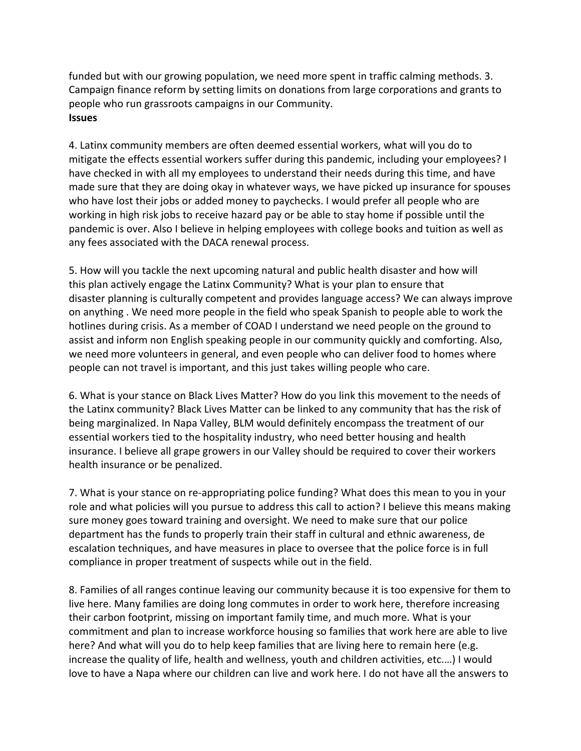funded but with our growing population, we need more spent in traffic calming methods. 3. Campaign finance reform by setting limits on donations from large corporations and grants to people who run grassroots campaigns in our Community. **Issues**

4. Latinx community members are often deemed essential workers, what will you do to mitigate the effects essential workers suffer during this pandemic, including your employees? I have checked in with all my employees to understand their needs during this time, and have made sure that they are doing okay in whatever ways, we have picked up insurance for spouses who have lost their jobs or added money to paychecks. I would prefer all people who are working in high risk jobs to receive hazard pay or be able to stay home if possible until the pandemic is over. Also I believe in helping employees with college books and tuition as well as any fees associated with the DACA renewal process.

5. How will you tackle the next upcoming natural and public health disaster and how will this plan actively engage the Latinx Community? What is your plan to ensure that disaster planning is culturally competent and provides language access? We can always improve on anything . We need more people in the field who speak Spanish to people able to work the hotlines during crisis. As a member of COAD I understand we need people on the ground to assist and inform non English speaking people in our community quickly and comforting. Also, we need more volunteers in general, and even people who can deliver food to homes where people can not travel is important, and this just takes willing people who care.

6. What is your stance on Black Lives Matter? How do you link this movement to the needs of the Latinx community? Black Lives Matter can be linked to any community that has the risk of being marginalized. In Napa Valley, BLM would definitely encompass the treatment of our essential workers tied to the hospitality industry, who need better housing and health insurance. I believe all grape growers in our Valley should be required to cover their workers health insurance or be penalized.

7. What is your stance on re-appropriating police funding? What does this mean to you in your role and what policies will you pursue to address this call to action? I believe this means making sure money goes toward training and oversight. We need to make sure that our police department has the funds to properly train their staff in cultural and ethnic awareness, de escalation techniques, and have measures in place to oversee that the police force is in full compliance in proper treatment of suspects while out in the field.

8. Families of all ranges continue leaving our community because it is too expensive for them to live here. Many families are doing long commutes in order to work here, therefore increasing their carbon footprint, missing on important family time, and much more. What is your commitment and plan to increase workforce housing so families that work here are able to live here? And what will you do to help keep families that are living here to remain here (e.g. increase the quality of life, health and wellness, youth and children activities, etc....) I would love to have a Napa where our children can live and work here. I do not have all the answers to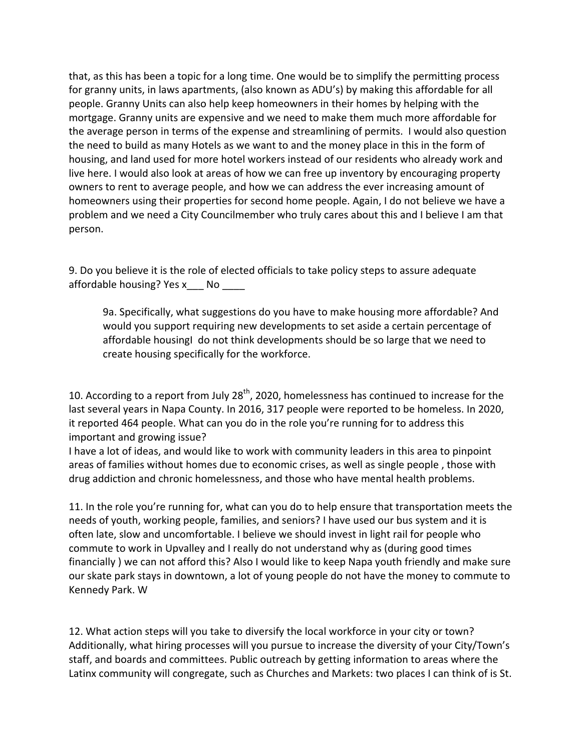that, as this has been a topic for a long time. One would be to simplify the permitting process for granny units, in laws apartments, (also known as ADU's) by making this affordable for all people. Granny Units can also help keep homeowners in their homes by helping with the mortgage. Granny units are expensive and we need to make them much more affordable for the average person in terms of the expense and streamlining of permits. I would also question the need to build as many Hotels as we want to and the money place in this in the form of housing, and land used for more hotel workers instead of our residents who already work and live here. I would also look at areas of how we can free up inventory by encouraging property owners to rent to average people, and how we can address the ever increasing amount of homeowners using their properties for second home people. Again, I do not believe we have a problem and we need a City Councilmember who truly cares about this and I believe I am that person. 

9. Do you believe it is the role of elected officials to take policy steps to assure adequate affordable housing? Yes  $x$  \_\_\_ No \_\_\_\_

9a. Specifically, what suggestions do you have to make housing more affordable? And would you support requiring new developments to set aside a certain percentage of affordable housingI do not think developments should be so large that we need to create housing specifically for the workforce.

10. According to a report from July 28<sup>th</sup>, 2020, homelessness has continued to increase for the last several years in Napa County. In 2016, 317 people were reported to be homeless. In 2020, it reported 464 people. What can you do in the role you're running for to address this important and growing issue?

I have a lot of ideas, and would like to work with community leaders in this area to pinpoint areas of families without homes due to economic crises, as well as single people, those with drug addiction and chronic homelessness, and those who have mental health problems.

11. In the role you're running for, what can you do to help ensure that transportation meets the needs of youth, working people, families, and seniors? I have used our bus system and it is often late, slow and uncomfortable. I believe we should invest in light rail for people who commute to work in Upvalley and I really do not understand why as (during good times financially ) we can not afford this? Also I would like to keep Napa youth friendly and make sure our skate park stays in downtown, a lot of young people do not have the money to commute to Kennedy Park. W

12. What action steps will you take to diversify the local workforce in your city or town? Additionally, what hiring processes will you pursue to increase the diversity of your City/Town's staff, and boards and committees. Public outreach by getting information to areas where the Latinx community will congregate, such as Churches and Markets: two places I can think of is St.